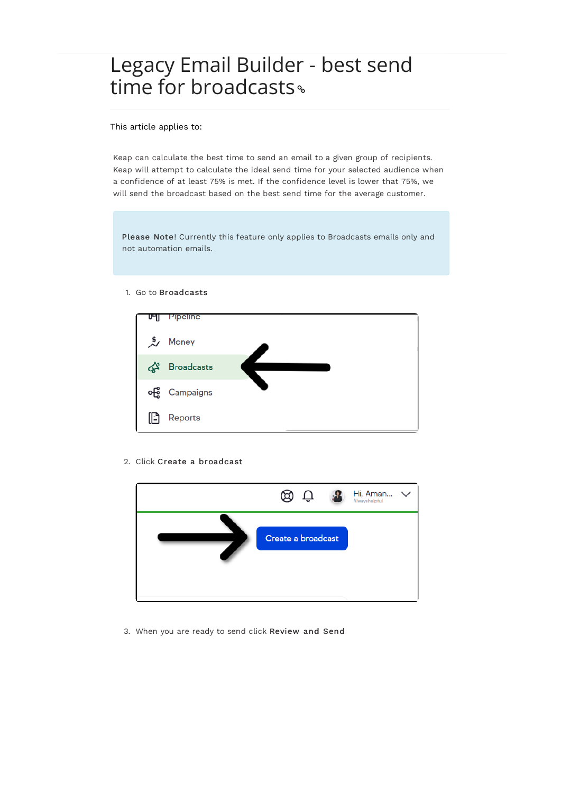## Legacy Email Builder - best send time for broadcasts<sup>®</sup>

This article applies to:

Keap can calculate the best time to send an email to a given group of recipients. Keap will attempt to calculate the ideal send time for your selected audience when a confidence of at least 75% is met. If the confidence level is lower that 75%, we will send the broadcast based on the best send time for the average customer.

Please Note! Currently this feature only applies to Broadcasts emails only and not automation emails.

1. Go to Broadcasts



2. Click Create a broadcast



3. When you are ready to send click Review and Send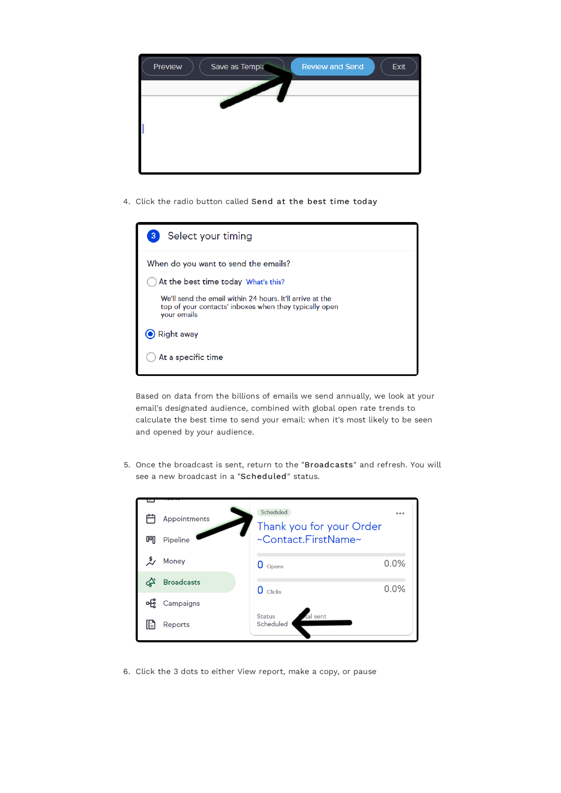

4. Click the radio button called Send at the best time today

| Select your timing<br>3                                                                                                            |
|------------------------------------------------------------------------------------------------------------------------------------|
| When do you want to send the emails?                                                                                               |
| At the best time today What's this?                                                                                                |
| We'll send the email within 24 hours. It'll arrive at the<br>top of your contacts' inboxes when they typically open<br>your emails |
| <b>Right away</b>                                                                                                                  |
| At a specific time                                                                                                                 |

Based on data from the billions of emails we send annually, we look at your email's designated audience, combined with global open rate trends to calculate the best time to send your email: when it's most likely to be seen and opened by your audience.

5. Once the broadcast is sent, return to the "Broadcasts" and refresh. You will see a new broadcast in a "Scheduled" status.



6. Click the 3 dots to either View report, make a copy, or pause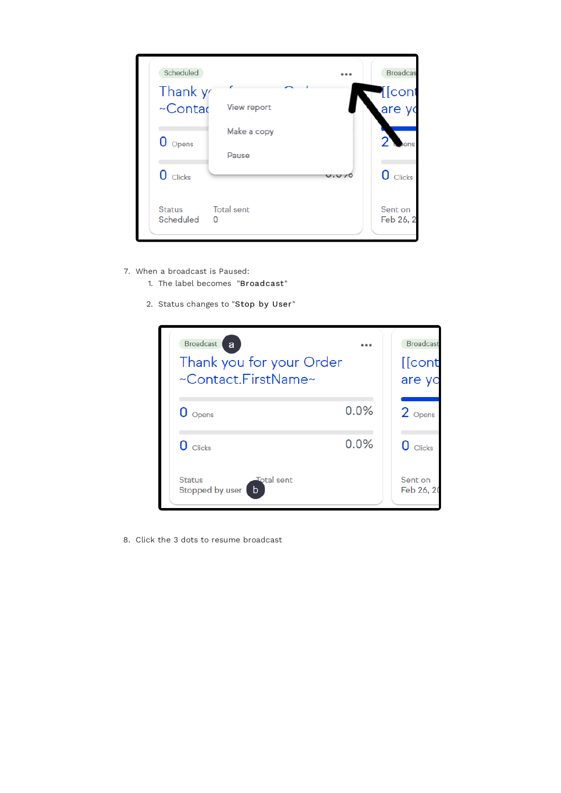

- 7. When a broadcast is Paused:
	- 1. The label becomes "Broadcast"
	- 2. Status changes to "Stop by User "



8. Click the 3 dots to resume broadcast